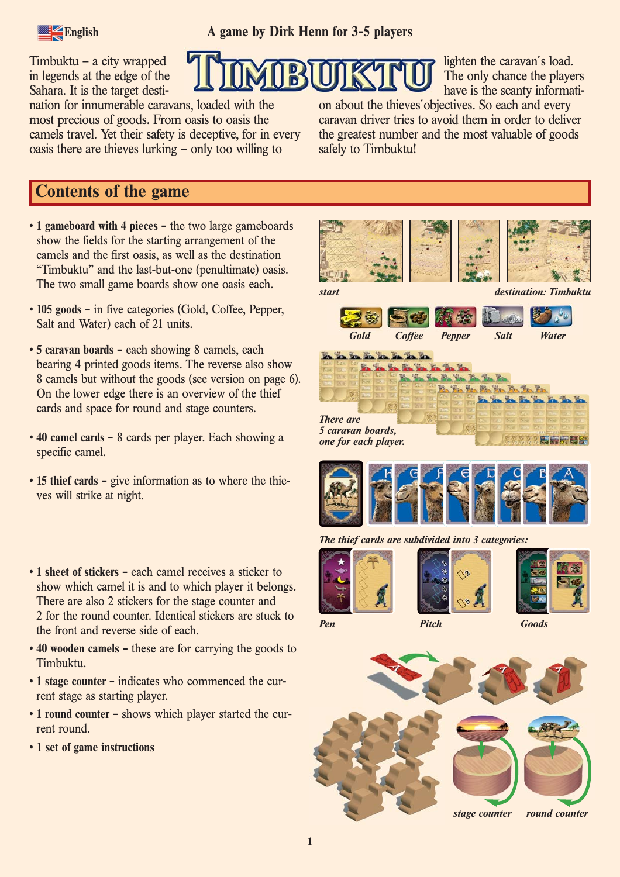

Timbuktu – a city wrapped in legends at the edge of the Sahara. It is the target desti-

nation for innumerable caravans, loaded with the most precious of goods. From oasis to oasis the camels travel. Yet their safety is deceptive, for in every oasis there are thieves lurking – only too willing to

have is the scanty information about the thieves´objectives. So each and every caravan driver tries to avoid them in order to deliver the greatest number and the most valuable of goods safely to Timbuktu!

lighten the caravan´s load. The only chance the players

# **Contents of the game**

- **1 gameboard with 4 pieces –** the two large gameboards show the fields for the starting arrangement of the camels and the first oasis, as well as the destination "Timbuktu" and the last-but-one (penultimate) oasis. The two small game boards show one oasis each.
- **105 goods –** in five categories (Gold, Coffee, Pepper, Salt and Water) each of 21 units.
- **5 caravan boards –** each showing 8 camels, each bearing 4 printed goods items. The reverse also show 8 camels but without the goods (see version on page 6). On the lower edge there is an overview of the thief cards and space for round and stage counters.
- **40 camel cards –** 8 cards per player. Each showing a specific camel.
- **15 thief cards –** give information as to where the thieves will strike at night.
- **1 sheet of stickers –** each camel receives a sticker to show which camel it is and to which player it belongs. There are also 2 stickers for the stage counter and 2 for the round counter. Identical stickers are stuck to the front and reverse side of each.
- **40 wooden camels –** these are for carrying the goods to Timbuktu.
- **1 stage counter –** indicates who commenced the current stage as starting player.
- **1 round counter –** shows which player started the current round.
- **1 set of game instructions**















*Pen Pitch Goods*

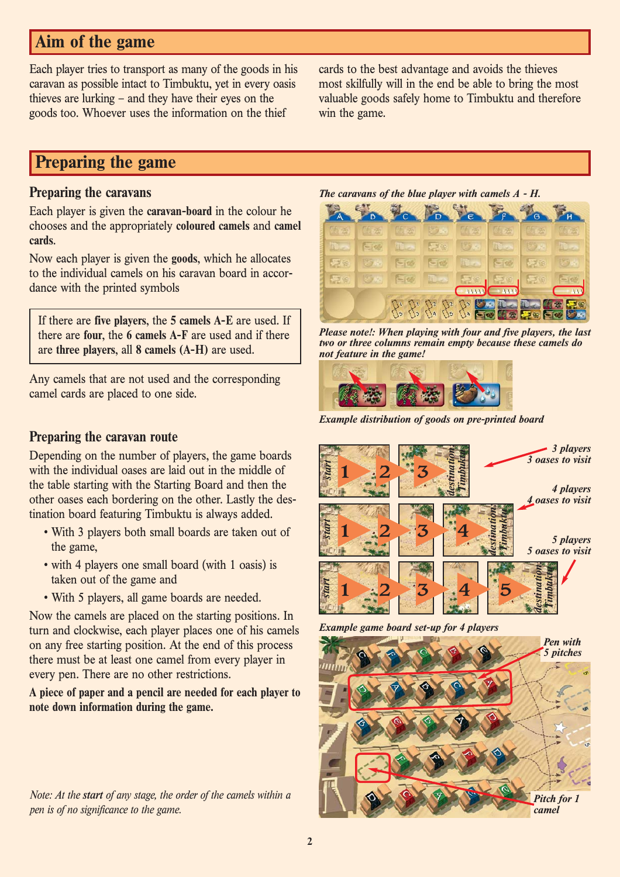# **Aim of the game**

Each player tries to transport as many of the goods in his caravan as possible intact to Timbuktu, yet in every oasis thieves are lurking – and they have their eyes on the goods too. Whoever uses the information on the thief

cards to the best advantage and avoids the thieves most skilfully will in the end be able to bring the most valuable goods safely home to Timbuktu and therefore win the game.

# **Preparing the game**

### **Preparing the caravans**

Each player is given the **caravan-board** in the colour he chooses and the appropriately **coloured camels** and **camel cards**.

Now each player is given the **goods**, which he allocates to the individual camels on his caravan board in accordance with the printed symbols

If there are **five players**, the **5 camels A-E** are used. If there are **four**, the **6 camels A-F** are used and if there are **three players**, all **8 camels (A-H)** are used.

Any camels that are not used and the corresponding camel cards are placed to one side.

## **Preparing the caravan route**

Depending on the number of players, the game boards with the individual oases are laid out in the middle of the table starting with the Starting Board and then the other oases each bordering on the other. Lastly the destination board featuring Timbuktu is always added.

- With 3 players both small boards are taken out of the game,
- with 4 players one small board (with 1 oasis) is taken out of the game and
- With 5 players, all game boards are needed.

Now the camels are placed on the starting positions. In turn and clockwise, each player places one of his camels on any free starting position. At the end of this process there must be at least one camel from every player in every pen. There are no other restrictions.

**A piece of paper and a pencil are needed for each player to note down information during the game.**

*Note: At the start of any stage, the order of the camels within a pen is of no significance to the game.*



| 【有意           | 5.     | 质素            | シー                     | 06 季           | (大 交)   | 计函  | (气态)                                                            |
|---------------|--------|---------------|------------------------|----------------|---------|-----|-----------------------------------------------------------------|
| $\mathcal{L}$ | $-100$ |               | 要家                     | じかっ            |         | じゅ  |                                                                 |
| 学家            | 罗树     | 一位            | $-\alpha$              |                | $= 0$   | 学家  | どうや                                                             |
| -78           | 50     | $-143$        |                        |                |         | 三、金 |                                                                 |
|               |        |               |                        | $-44333$       | $-1113$ |     | 333                                                             |
|               |        | $\frac{1}{2}$ | $\mathbb{C}^{2}$<br>16 | $\mathbb{C}^3$ |         |     | 早晚<br><mark>じゃ エスエス 体験 フォ</mark><br><mark>三極 体験 フォ 三極 シャ</mark> |

*Please note!: When playing with four and five players, the last two or three columns remain empty because these camels do not feature in the game!*



*Example distribution of goods on pre-printed board*



*Example game board set-up for 4 players*

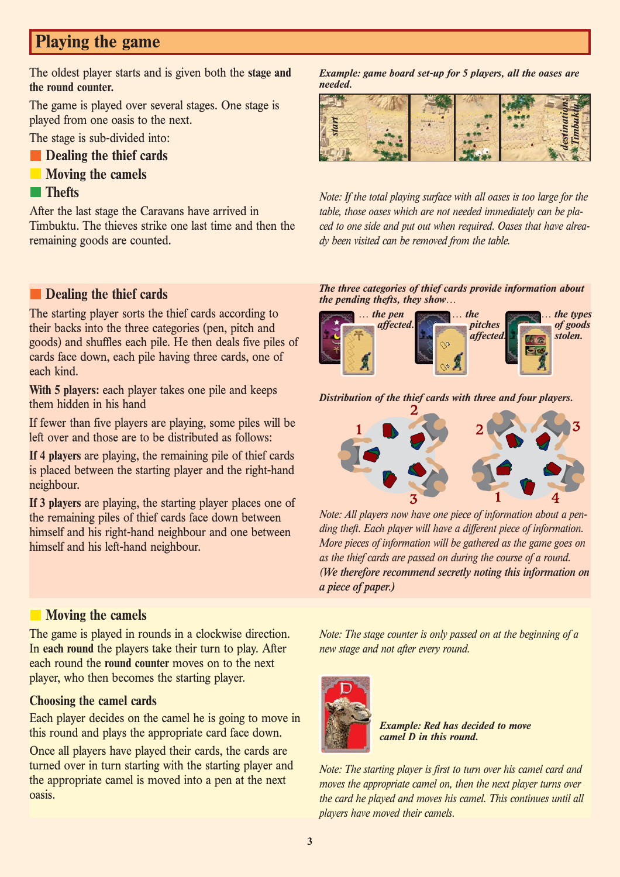# **Playing the game**

The oldest player starts and is given both the **stage and the round counter.**

The game is played over several stages. One stage is played from one oasis to the next.

The stage is sub-divided into:

- **Dealing the thief cards**
- **Moving the camels**

### **Thefts**

After the last stage the Caravans have arrived in Timbuktu. The thieves strike one last time and then the remaining goods are counted.

## **Dealing the thief cards**

The starting player sorts the thief cards according to their backs into the three categories (pen, pitch and goods) and shuffles each pile. He then deals five piles of cards face down, each pile having three cards, one of each kind.

**With 5 players:** each player takes one pile and keeps them hidden in his hand

If fewer than five players are playing, some piles will be left over and those are to be distributed as follows:

**If 4 players** are playing, the remaining pile of thief cards is placed between the starting player and the right-hand neighbour.

**If 3 players** are playing, the starting player places one of the remaining piles of thief cards face down between himself and his right-hand neighbour and one between himself and his left-hand neighbour.

## **Moving the camels**

The game is played in rounds in a clockwise direction. In **each round** the players take their turn to play. After each round the **round counter** moves on to the next player, who then becomes the starting player.

### **Choosing the camel cards**

Each player decides on the camel he is going to move in this round and plays the appropriate card face down.

Once all players have played their cards, the cards are turned over in turn starting with the starting player and the appropriate camel is moved into a pen at the next oasis.

*Example: game board set-up for 5 players, all the oases are needed.*



*Note: If the total playing surface with all oases is too large for the table, those oases which are not needed immediately can be placed to one side and put out when required. Oases that have already been visited can be removed from the table.*

#### *The three categories of thief cards provide information about the pending thefts, they show…*



#### *Distribution of the thief cards with three and four players.*



*Note: All players now have one piece of information about a pending theft. Each player will have a different piece of information. More pieces of information will be gathered as the game goes on as the thief cards are passed on during the course of a round. (We therefore recommend secretly noting this information on a piece of paper.)*

*Note: The stage counter is only passed on at the beginning of a new stage and not after every round.*



*Example: Red has decided to move camel D in this round.*

*Note: The starting player is first to turn over his camel card and moves the appropriate camel on, then the next player turns over the card he played and moves his camel. This continues until all players have moved their camels.*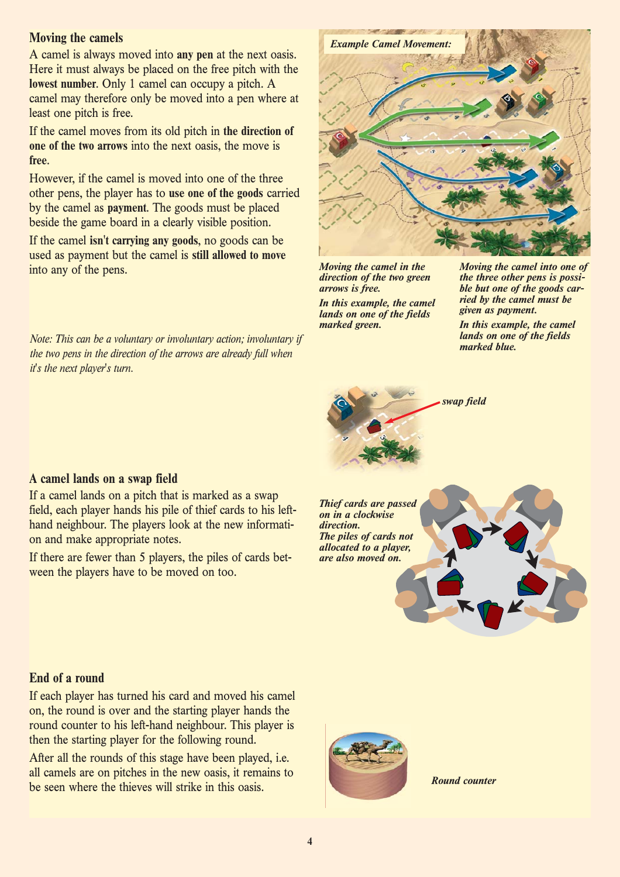### **Moving the camels**

A camel is always moved into **any pen** at the next oasis. Here it must always be placed on the free pitch with the **lowest number**. Only 1 camel can occupy a pitch. A camel may therefore only be moved into a pen where at least one pitch is free.

If the camel moves from its old pitch in **the direction of one of the two arrows** into the next oasis, the move is **free**.

However, if the camel is moved into one of the three other pens, the player has to **use one of the goods** carried by the camel as **payment**. The goods must be placed beside the game board in a clearly visible position.

If the camel **isn't carrying any goods**, no goods can be used as payment but the camel is **still allowed to move** into any of the pens.

*Note: This can be a voluntary or involuntary action; involuntary if the two pens in the direction of the arrows are already full when it's the next player's turn.*



*Moving the camel in the direction of the two green arrows is free. In this example, the camel*

*lands on one of the fields marked green.*

*Moving the camel into one of the three other pens is possible but one of the goods carried by the camel must be given as payment.* 

*In this example, the camel lands on one of the fields marked blue.*



**A camel lands on a swap field**

If a camel lands on a pitch that is marked as a swap field, each player hands his pile of thief cards to his lefthand neighbour. The players look at the new information and make appropriate notes.

If there are fewer than 5 players, the piles of cards between the players have to be moved on too.

*Thief cards are passed on in a clockwise direction. The piles of cards not allocated to a player, are also moved on.*

### **End of a round**

If each player has turned his card and moved his camel on, the round is over and the starting player hands the round counter to his left-hand neighbour. This player is then the starting player for the following round.

After all the rounds of this stage have been played, i.e. all camels are on pitches in the new oasis, it remains to be seen where the thieves will strike in this oasis.



*Round counter*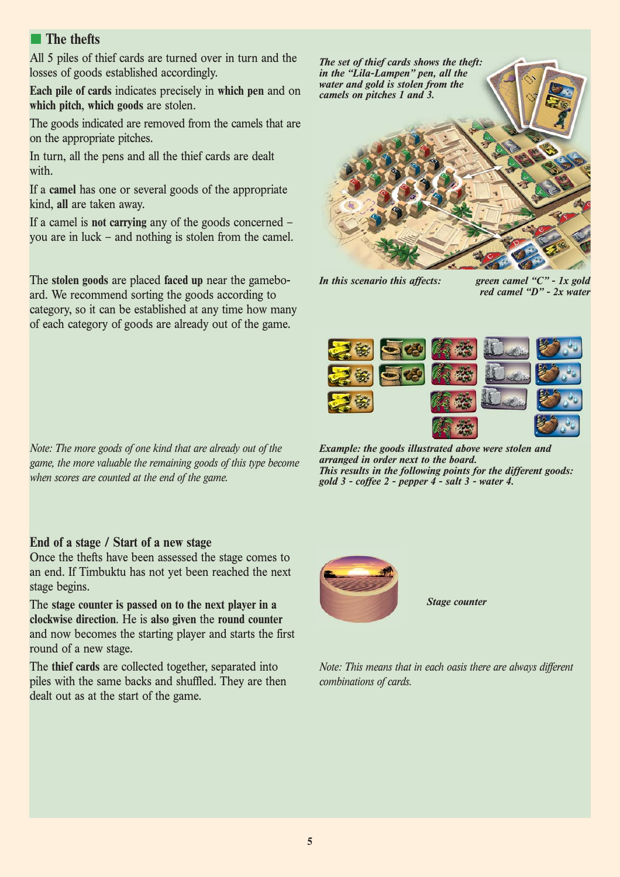# **The thefts**

All 5 piles of thief cards are turned over in turn and the losses of goods established accordingly.

**Each pile of cards** indicates precisely in **which pen** and on **which pitch**, **which goods** are stolen.

The goods indicated are removed from the camels that are on the appropriate pitches.

In turn, all the pens and all the thief cards are dealt with.

If a **camel** has one or several goods of the appropriate kind, **all** are taken away.

If a camel is **not carrying** any of the goods concerned – you are in luck – and nothing is stolen from the camel.

The **stolen goods** are placed **faced up** near the gameboard. We recommend sorting the goods according to category, so it can be established at any time how many of each category of goods are already out of the game.

*Note: The more goods of one kind that are already out of the game, the more valuable the remaining goods of this type become when scores are counted at the end of the game.*

### **End of a stage / Start of a new stage**

Once the thefts have been assessed the stage comes to an end. If Timbuktu has not yet been reached the next stage begins.

The **stage counter is passed on to the next player in a clockwise direction**. He is **also given** the **round counter** and now becomes the starting player and starts the first round of a new stage.

The **thief cards** are collected together, separated into piles with the same backs and shuffled. They are then dealt out as at the start of the game.



*In this scenario this affects: green camel "C" - 1x gold red camel "D" - 2x water*



*Example: the goods illustrated above were stolen and arranged in order next to the board. This results in the following points for the different goods: gold 3 - coffee 2 - pepper 4 - salt 3 - water 4.*



*Stage counter*

*Note: This means that in each oasis there are always different combinations of cards.*